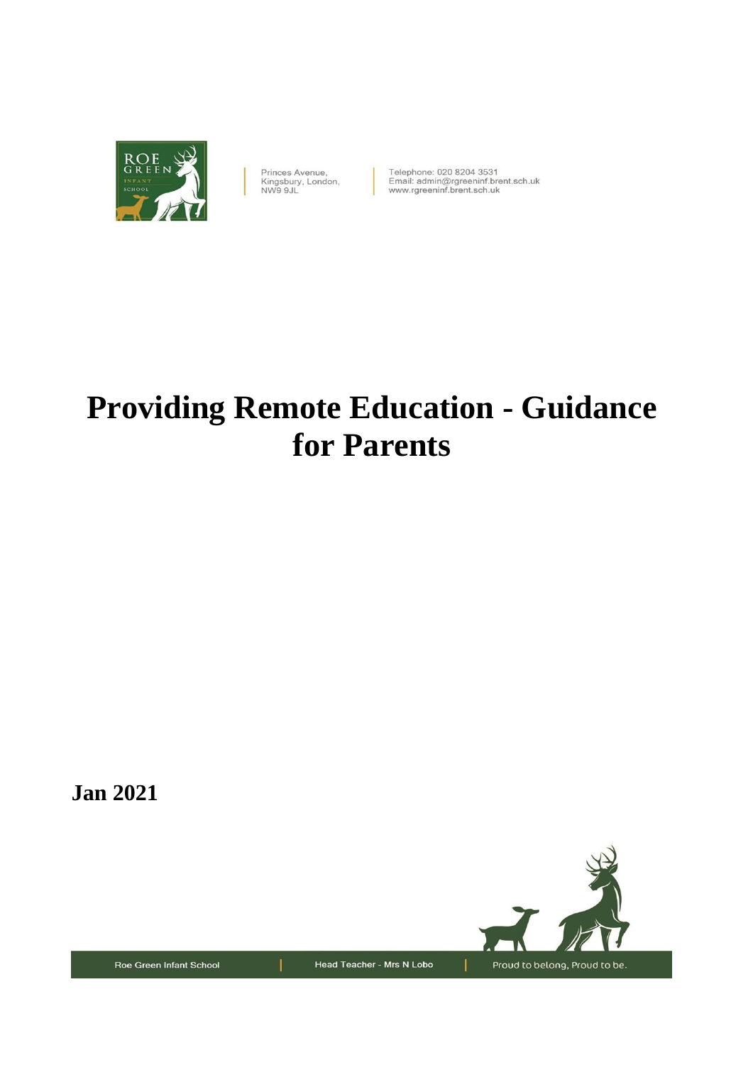

Princes Avenue,<br>Kingsbury, London, NW9 9JL

Telephone: 020 8204 3531<br>Email: admin@rgreeninf.brent.sch.uk<br>www.rgreeninf.brent.sch.uk

# **Providing Remote Education - Guidance for Parents**

**Jan 2021**



Roe Green Infant School

Head Teacher - Mrs N Lobo

Proud to belong, Proud to be.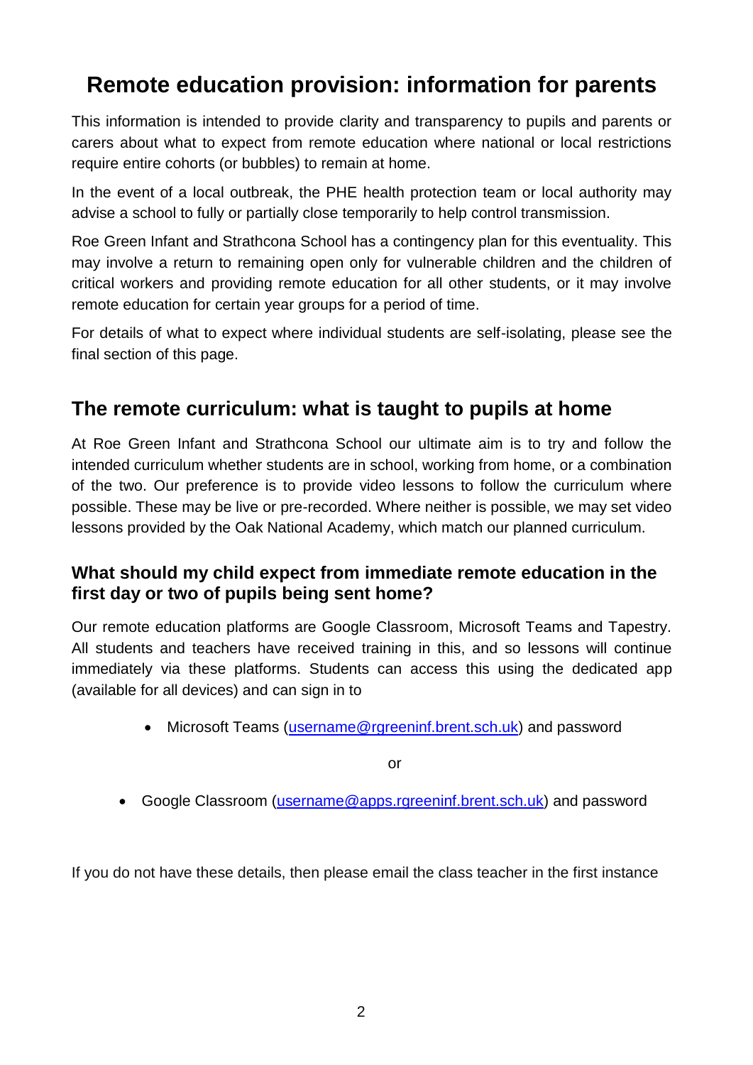# **Remote education provision: information for parents**

This information is intended to provide clarity and transparency to pupils and parents or carers about what to expect from remote education where national or local restrictions require entire cohorts (or bubbles) to remain at home.

In the event of a local outbreak, the PHE health protection team or local authority may advise a school to fully or partially close temporarily to help control transmission.

Roe Green Infant and Strathcona School has a contingency plan for this eventuality. This may involve a return to remaining open only for vulnerable children and the children of critical workers and providing remote education for all other students, or it may involve remote education for certain year groups for a period of time.

For details of what to expect where individual students are self-isolating, please see the final section of this page.

## **The remote curriculum: what is taught to pupils at home**

At Roe Green Infant and Strathcona School our ultimate aim is to try and follow the intended curriculum whether students are in school, working from home, or a combination of the two. Our preference is to provide video lessons to follow the curriculum where possible. These may be live or pre-recorded. Where neither is possible, we may set video lessons provided by the Oak National Academy, which match our planned curriculum.

#### **What should my child expect from immediate remote education in the first day or two of pupils being sent home?**

Our remote education platforms are Google Classroom, Microsoft Teams and Tapestry. All students and teachers have received training in this, and so lessons will continue immediately via these platforms. Students can access this using the dedicated app (available for all devices) and can sign in to

• Microsoft Teams [\(username@rgreeninf.brent.sch.uk\)](mailto:username@rgreeninf.brent.sch.uk) and password

or

Google Classroom [\(username@apps.rgreeninf.brent.sch.uk\)](mailto:username@apps.rgreeninf.brent.sch.uk) and password

If you do not have these details, then please email the class teacher in the first instance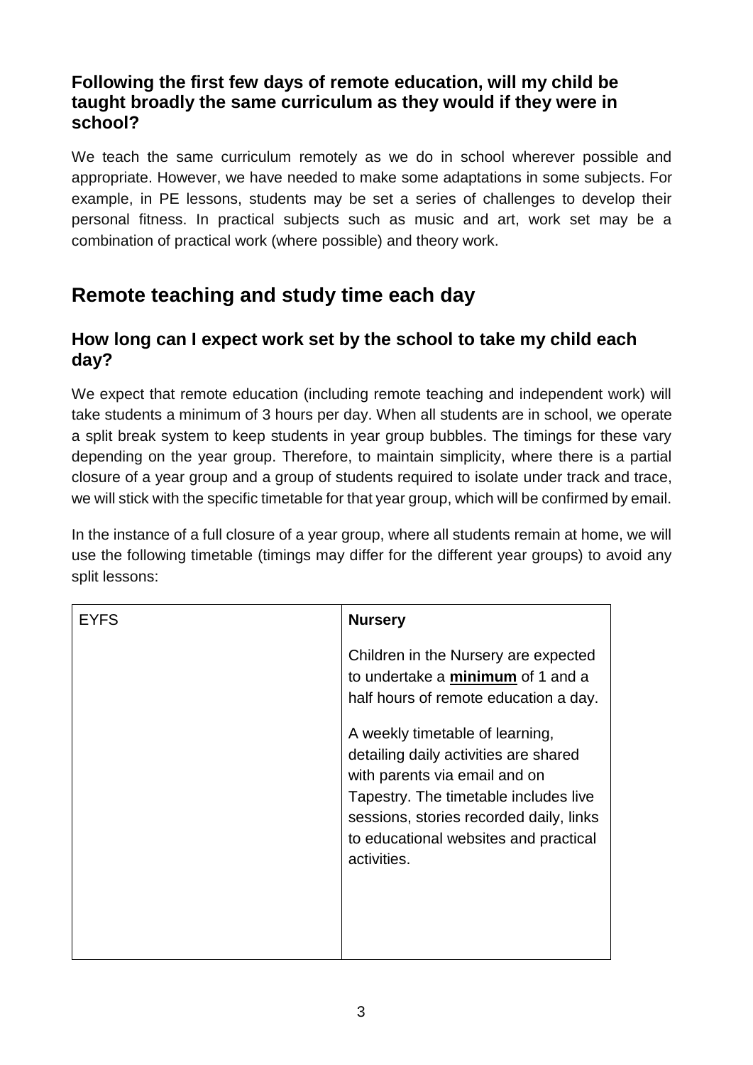## **Following the first few days of remote education, will my child be taught broadly the same curriculum as they would if they were in school?**

We teach the same curriculum remotely as we do in school wherever possible and appropriate. However, we have needed to make some adaptations in some subjects. For example, in PE lessons, students may be set a series of challenges to develop their personal fitness. In practical subjects such as music and art, work set may be a combination of practical work (where possible) and theory work.

# **Remote teaching and study time each day**

## **How long can I expect work set by the school to take my child each day?**

We expect that remote education (including remote teaching and independent work) will take students a minimum of 3 hours per day. When all students are in school, we operate a split break system to keep students in year group bubbles. The timings for these vary depending on the year group. Therefore, to maintain simplicity, where there is a partial closure of a year group and a group of students required to isolate under track and trace, we will stick with the specific timetable for that year group, which will be confirmed by email.

In the instance of a full closure of a year group, where all students remain at home, we will use the following timetable (timings may differ for the different year groups) to avoid any split lessons:

| EYFS | <b>Nursery</b>                                                                                                                                                                                                                                        |
|------|-------------------------------------------------------------------------------------------------------------------------------------------------------------------------------------------------------------------------------------------------------|
|      | Children in the Nursery are expected<br>to undertake a minimum of 1 and a<br>half hours of remote education a day.                                                                                                                                    |
|      | A weekly timetable of learning,<br>detailing daily activities are shared<br>with parents via email and on<br>Tapestry. The timetable includes live<br>sessions, stories recorded daily, links<br>to educational websites and practical<br>activities. |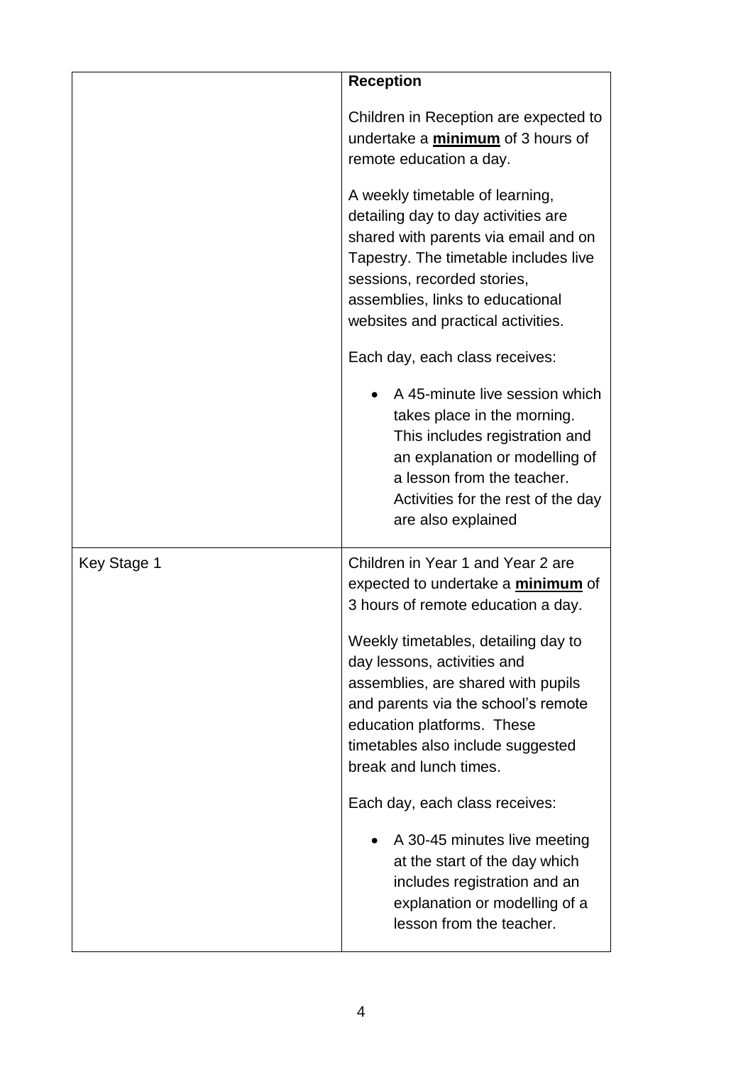|             | <b>Reception</b>                                                                                                                                                                                                                                                 |
|-------------|------------------------------------------------------------------------------------------------------------------------------------------------------------------------------------------------------------------------------------------------------------------|
|             | Children in Reception are expected to<br>undertake a minimum of 3 hours of<br>remote education a day.                                                                                                                                                            |
|             | A weekly timetable of learning,<br>detailing day to day activities are<br>shared with parents via email and on<br>Tapestry. The timetable includes live<br>sessions, recorded stories,<br>assemblies, links to educational<br>websites and practical activities. |
|             | Each day, each class receives:                                                                                                                                                                                                                                   |
|             | A 45-minute live session which<br>takes place in the morning.<br>This includes registration and<br>an explanation or modelling of<br>a lesson from the teacher.<br>Activities for the rest of the day<br>are also explained                                      |
| Key Stage 1 | Children in Year 1 and Year 2 are<br>expected to undertake a <i>minimum</i> of<br>3 hours of remote education a day.                                                                                                                                             |
|             | Weekly timetables, detailing day to<br>day lessons, activities and<br>assemblies, are shared with pupils<br>and parents via the school's remote<br>education platforms. These<br>timetables also include suggested<br>break and lunch times.                     |
|             | Each day, each class receives:                                                                                                                                                                                                                                   |
|             | A 30-45 minutes live meeting<br>at the start of the day which<br>includes registration and an<br>explanation or modelling of a<br>lesson from the teacher.                                                                                                       |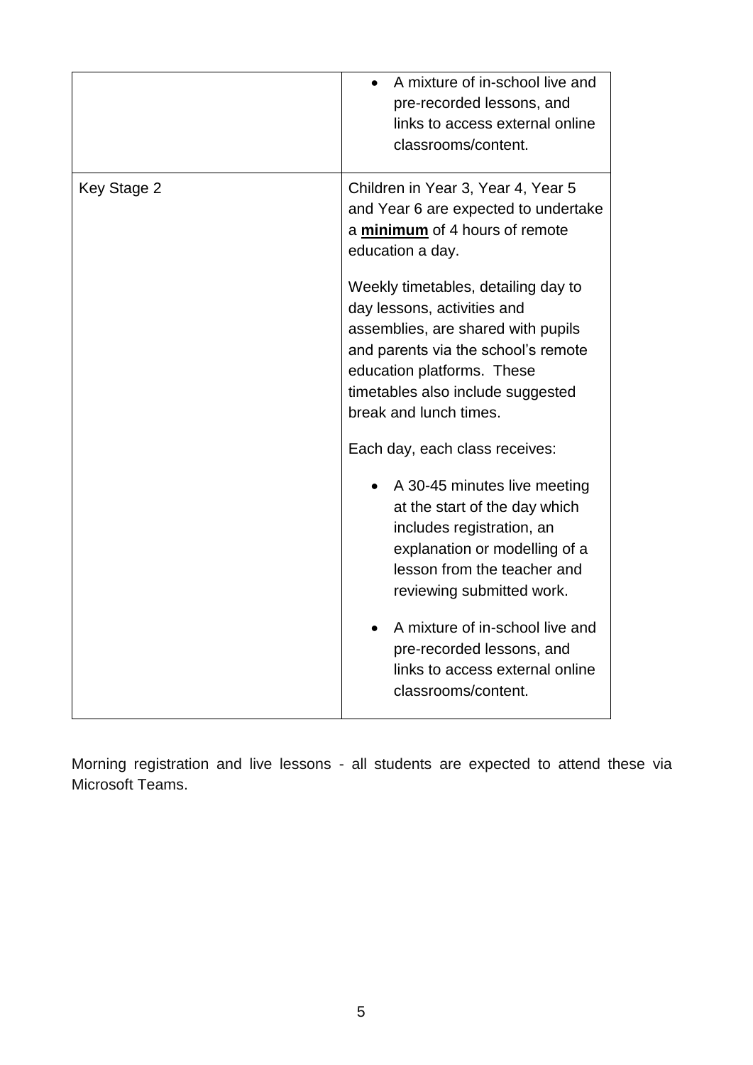|             | A mixture of in-school live and<br>pre-recorded lessons, and<br>links to access external online<br>classrooms/content.                                                                                                    |
|-------------|---------------------------------------------------------------------------------------------------------------------------------------------------------------------------------------------------------------------------|
| Key Stage 2 | Children in Year 3, Year 4, Year 5<br>and Year 6 are expected to undertake<br>a minimum of 4 hours of remote<br>education a day.<br>Weekly timetables, detailing day to                                                   |
|             | day lessons, activities and<br>assemblies, are shared with pupils<br>and parents via the school's remote<br>education platforms. These<br>timetables also include suggested<br>break and lunch times.                     |
|             | Each day, each class receives:<br>A 30-45 minutes live meeting<br>at the start of the day which<br>includes registration, an<br>explanation or modelling of a<br>lesson from the teacher and<br>reviewing submitted work. |
|             | A mixture of in-school live and<br>pre-recorded lessons, and<br>links to access external online<br>classrooms/content.                                                                                                    |

Morning registration and live lessons - all students are expected to attend these via Microsoft Teams.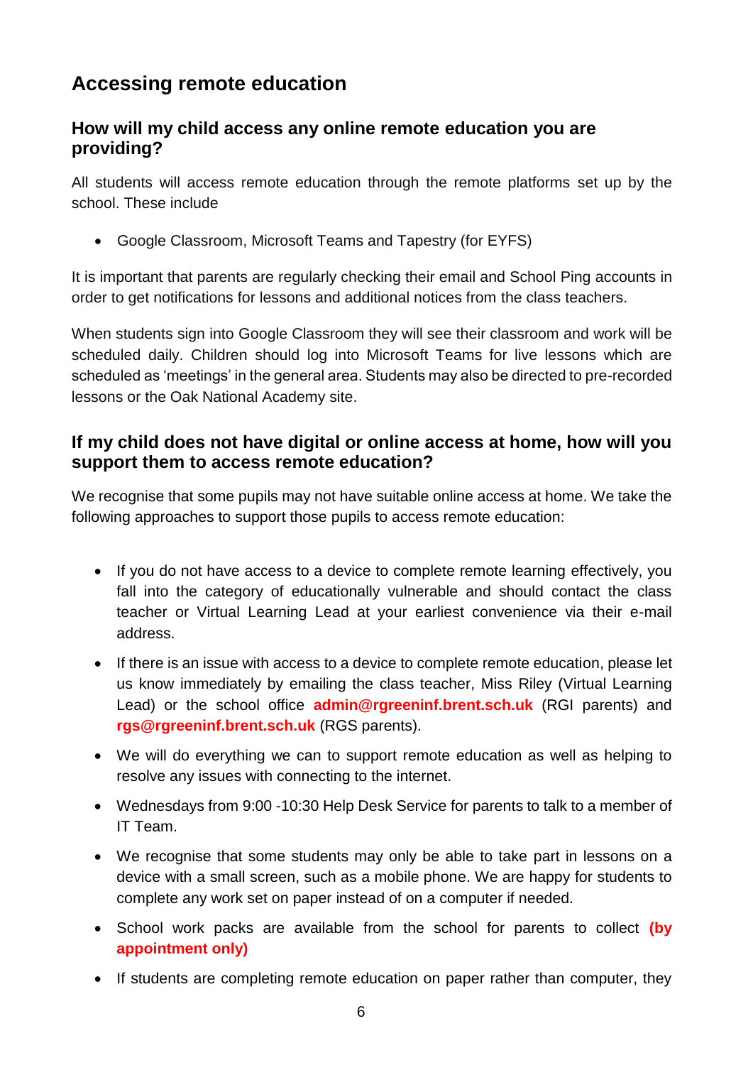# **Accessing remote education**

#### **How will my child access any online remote education you are providing?**

All students will access remote education through the remote platforms set up by the school. These include

Google Classroom, Microsoft Teams and Tapestry (for EYFS)

It is important that parents are regularly checking their email and School Ping accounts in order to get notifications for lessons and additional notices from the class teachers.

When students sign into Google Classroom they will see their classroom and work will be scheduled daily. Children should log into Microsoft Teams for live lessons which are scheduled as 'meetings' in the general area. Students may also be directed to pre-recorded lessons or the Oak National Academy site.

### **If my child does not have digital or online access at home, how will you support them to access remote education?**

We recognise that some pupils may not have suitable online access at home. We take the following approaches to support those pupils to access remote education:

- If you do not have access to a device to complete remote learning effectively, you fall into the category of educationally vulnerable and should contact the class teacher or Virtual Learning Lead at your earliest convenience via their e-mail address.
- If there is an issue with access to a device to complete remote education, please let us know immediately by emailing the class teacher, Miss Riley (Virtual Learning Lead) or the school office **admin@rgreeninf.brent.sch.uk** (RGI parents) and **rgs@rgreeninf.brent.sch.uk** (RGS parents).
- We will do everything we can to support remote education as well as helping to resolve any issues with connecting to the internet.
- Wednesdays from 9:00 -10:30 Help Desk Service for parents to talk to a member of IT Team.
- We recognise that some students may only be able to take part in lessons on a device with a small screen, such as a mobile phone. We are happy for students to complete any work set on paper instead of on a computer if needed.
- School work packs are available from the school for parents to collect (by **appointment only)**
- If students are completing remote education on paper rather than computer, they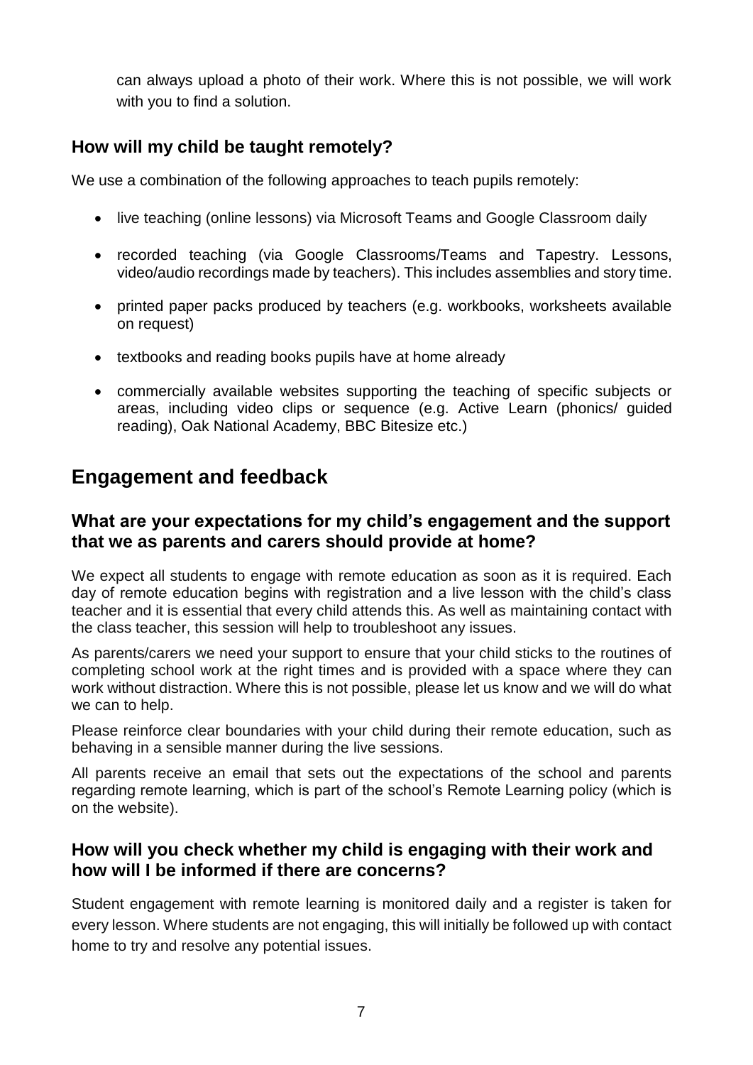can always upload a photo of their work. Where this is not possible, we will work with you to find a solution.

## **How will my child be taught remotely?**

We use a combination of the following approaches to teach pupils remotely:

- live teaching (online lessons) via Microsoft Teams and Google Classroom daily
- recorded teaching (via Google Classrooms/Teams and Tapestry. Lessons, video/audio recordings made by teachers). This includes assemblies and story time.
- printed paper packs produced by teachers (e.g. workbooks, worksheets available on request)
- textbooks and reading books pupils have at home already
- commercially available websites supporting the teaching of specific subjects or areas, including video clips or sequence (e.g. Active Learn (phonics/ guided reading), Oak National Academy, BBC Bitesize etc.)

## **Engagement and feedback**

#### **What are your expectations for my child's engagement and the support that we as parents and carers should provide at home?**

We expect all students to engage with remote education as soon as it is required. Each day of remote education begins with registration and a live lesson with the child's class teacher and it is essential that every child attends this. As well as maintaining contact with the class teacher, this session will help to troubleshoot any issues.

As parents/carers we need your support to ensure that your child sticks to the routines of completing school work at the right times and is provided with a space where they can work without distraction. Where this is not possible, please let us know and we will do what we can to help.

Please reinforce clear boundaries with your child during their remote education, such as behaving in a sensible manner during the live sessions.

All parents receive an email that sets out the expectations of the school and parents regarding remote learning, which is part of the school's Remote Learning policy (which is on the website).

#### **How will you check whether my child is engaging with their work and how will I be informed if there are concerns?**

Student engagement with remote learning is monitored daily and a register is taken for every lesson. Where students are not engaging, this will initially be followed up with contact home to try and resolve any potential issues.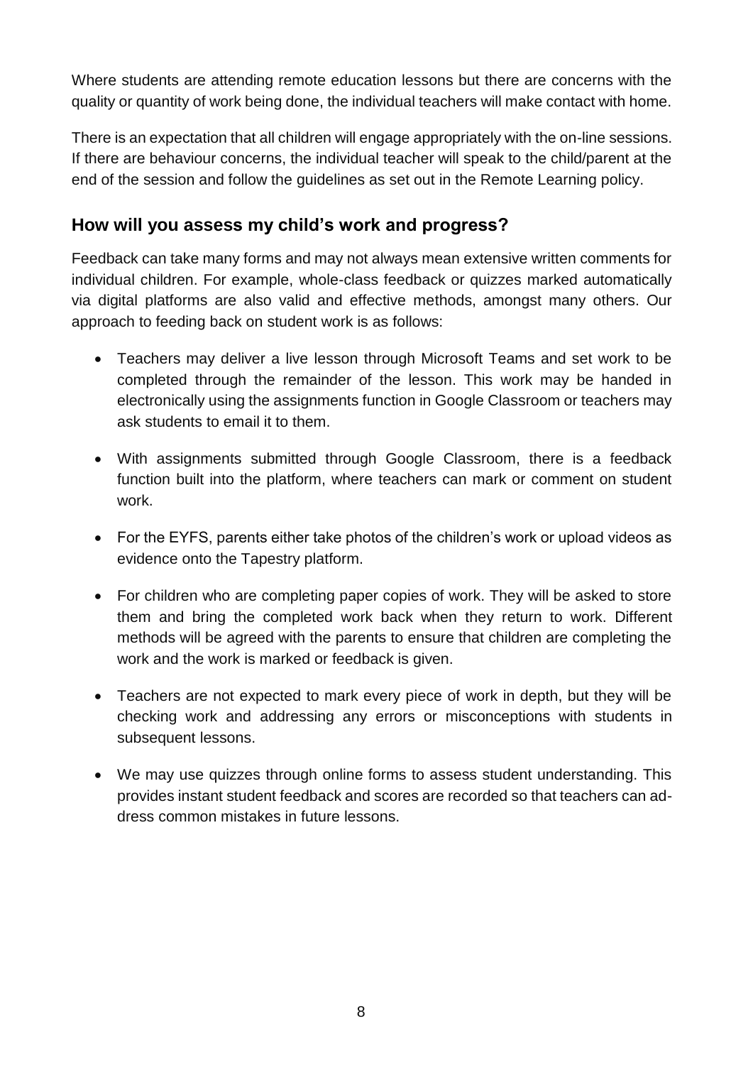Where students are attending remote education lessons but there are concerns with the quality or quantity of work being done, the individual teachers will make contact with home.

There is an expectation that all children will engage appropriately with the on-line sessions. If there are behaviour concerns, the individual teacher will speak to the child/parent at the end of the session and follow the guidelines as set out in the Remote Learning policy.

## **How will you assess my child's work and progress?**

Feedback can take many forms and may not always mean extensive written comments for individual children. For example, whole-class feedback or quizzes marked automatically via digital platforms are also valid and effective methods, amongst many others. Our approach to feeding back on student work is as follows:

- Teachers may deliver a live lesson through Microsoft Teams and set work to be completed through the remainder of the lesson. This work may be handed in electronically using the assignments function in Google Classroom or teachers may ask students to email it to them.
- With assignments submitted through Google Classroom, there is a feedback function built into the platform, where teachers can mark or comment on student work.
- For the EYFS, parents either take photos of the children's work or upload videos as evidence onto the Tapestry platform.
- For children who are completing paper copies of work. They will be asked to store them and bring the completed work back when they return to work. Different methods will be agreed with the parents to ensure that children are completing the work and the work is marked or feedback is given.
- Teachers are not expected to mark every piece of work in depth, but they will be checking work and addressing any errors or misconceptions with students in subsequent lessons.
- We may use quizzes through online forms to assess student understanding. This provides instant student feedback and scores are recorded so that teachers can address common mistakes in future lessons.